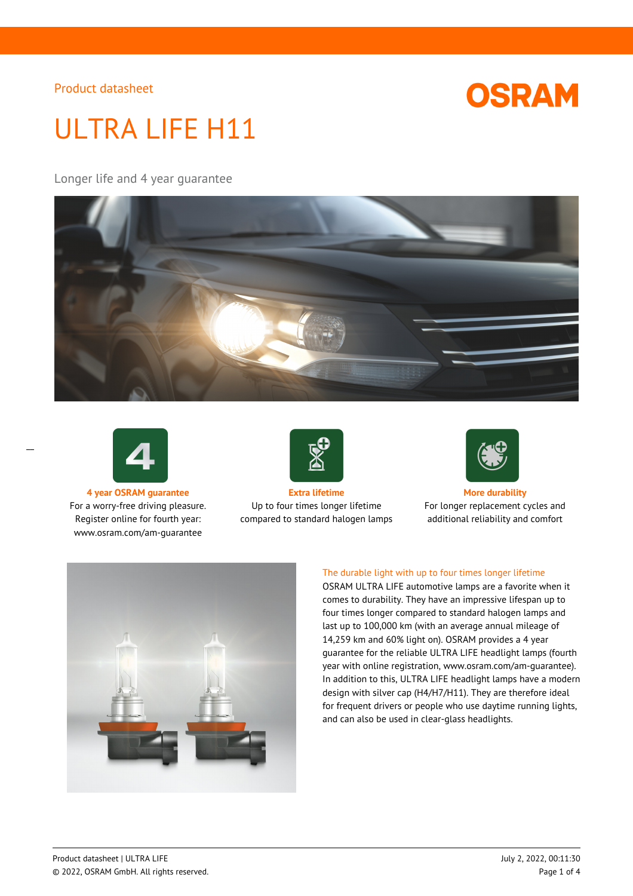

# ULTRA LIFE H11

Longer life and 4 year guarantee





 $\overline{a}$ 

For a worry-free driving pleasure. Register online for fourth year: www.osram.com/am-guarantee



**4 year OSRAM guarantee Extra lifetime More durability** Up to four times longer lifetime compared to standard halogen lamps



For longer replacement cycles and additional reliability and comfort



### The durable light with up to four times longer lifetime

OSRAM ULTRA LIFE automotive lamps are a favorite when it comes to durability. They have an impressive lifespan up to four times longer compared to standard halogen lamps and last up to 100,000 km (with an average annual mileage of 14,259 km and 60% light on). OSRAM provides a 4 year guarantee for the reliable ULTRA LIFE headlight lamps (fourth year with online registration, www.osram.com/am-guarantee). In addition to this, ULTRA LIFE headlight lamps have a modern design with silver cap (H4/H7/H11). They are therefore ideal for frequent drivers or people who use daytime running lights, and can also be used in clear-glass headlights.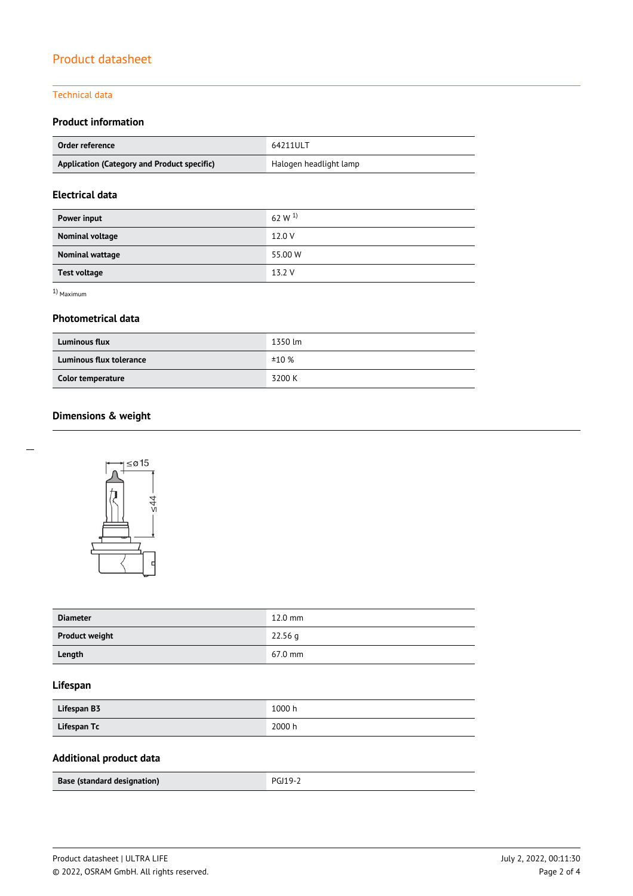#### Technical data

## **Product information**

| Order reference                             | 64211ULT               |  |
|---------------------------------------------|------------------------|--|
| Application (Category and Product specific) | Halogen headlight lamp |  |

## **Electrical data**

| Power input         | 62 W $^{1}$ |
|---------------------|-------------|
| Nominal voltage     | 12.0 V      |
| Nominal wattage     | 55.00 W     |
| <b>Test voltage</b> | 13.2 V      |

1) Maximum

#### **Photometrical data**

| <b>Luminous flux</b>           | 1350 lm |
|--------------------------------|---------|
| <b>Luminous flux tolerance</b> | ±10%    |
| Color temperature              | 3200 K  |

# **Dimensions & weight**



| <b>Diameter</b>       | $12.0$ mm         |
|-----------------------|-------------------|
| <b>Product weight</b> | $22.56$ q         |
| Length                | $67.0 \text{ mm}$ |

## **Lifespan**

| Lifespan B3 | 1000 h |
|-------------|--------|
| Lifespan Tc | 2000 h |

# **Additional product data**

| Base (standard designation) | <b>PGJ19-2</b> |
|-----------------------------|----------------|
|                             |                |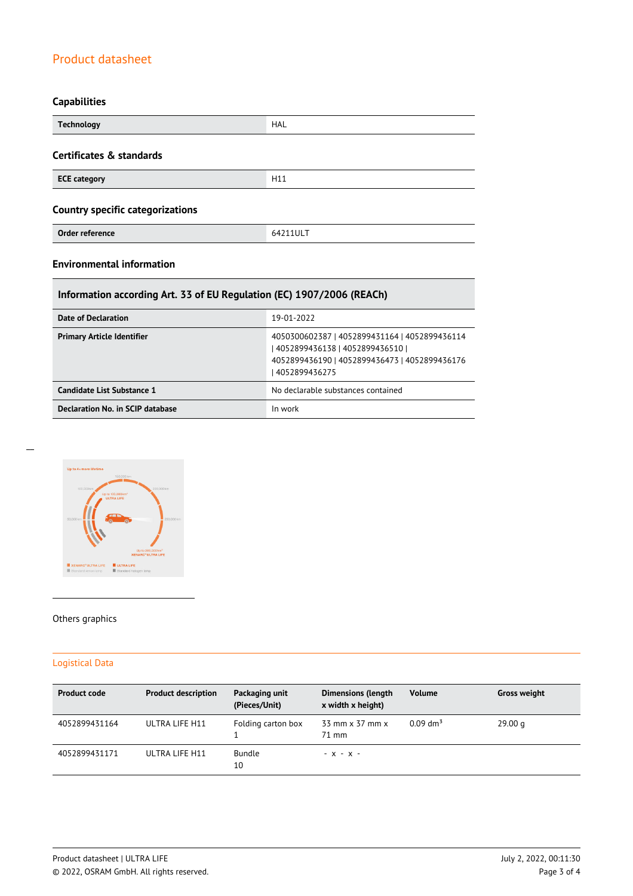# **Capabilities**

| <b>Technology</b>                       | <b>HAL</b> |  |
|-----------------------------------------|------------|--|
| Certificates & standards                |            |  |
| <b>ECE category</b>                     | H11        |  |
| <b>Country specific categorizations</b> |            |  |
| Order reference                         | 64211ULT   |  |

# **Environmental information**

# **Information according Art. 33 of EU Regulation (EC) 1907/2006 (REACh)**

| Date of Declaration               | 19-01-2022                                                                                                                                           |
|-----------------------------------|------------------------------------------------------------------------------------------------------------------------------------------------------|
| <b>Primary Article Identifier</b> | 4050300602387   4052899431164   4052899436114<br>  4052899436138   4052899436510  <br>4052899436190   4052899436473   4052899436176<br>4052899436275 |
| Candidate List Substance 1        | No declarable substances contained                                                                                                                   |
| Declaration No. in SCIP database  | In work                                                                                                                                              |



#### Others graphics

## Logistical Data

| <b>Product code</b> | <b>Product description</b> | Packaging unit<br>(Pieces/Unit) | <b>Dimensions (length</b><br>x width x height) | <b>Volume</b>          | <b>Gross weight</b> |
|---------------------|----------------------------|---------------------------------|------------------------------------------------|------------------------|---------------------|
| 4052899431164       | ULTRA LIFE H11             | Folding carton box              | 33 mm x 37 mm x<br>$71 \text{ mm}$             | $0.09$ dm <sup>3</sup> | 29.00 g             |
| 4052899431171       | ULTRA LIFE H11             | <b>Bundle</b><br>10             | $- X - X -$                                    |                        |                     |